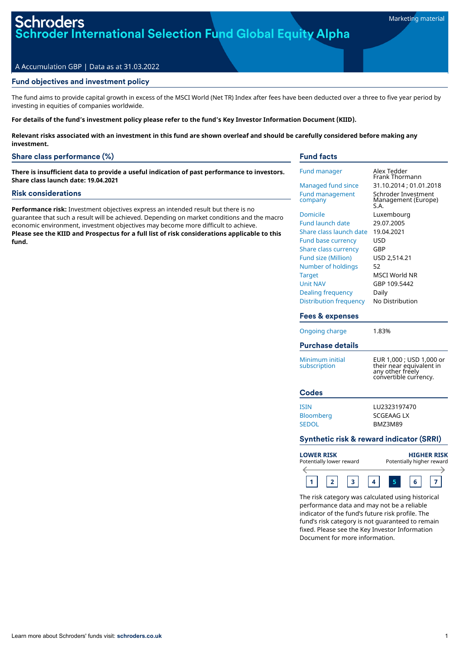oder International Selection Fund Global Equity Alpha

# A Accumulation GBP | Data as at 31.03.2022

# Fund objectives and investment policy

The fund aims to provide capital growth in excess of the MSCI World (Net TR) Index after fees have been deducted over a three to five year period by investing in equities of companies worldwide.

For details of the fund's investment policy please refer to the fund's Key Investor Information Document (KIID).

Relevant risks associated with an investment in this fund are shown overleaf and should be carefully considered before making any **investment.**

# Share class performance (%)

**There is insufficient data to provide a useful indication of past performance to investors. Share class launch date: 19.04.2021**

#### Risk considerations

**Performance risk:** Investment objectives express an intended result but there is no guarantee that such a result will be achieved. Depending on market conditions and the macro economic environment, investment objectives may become more difficult to achieve. **Please see the KIID and Prospectus for a full list of risk considerations applicable to this fund.**

## Fund facts

| <b>Fund manager</b>                                                                                                                                                                                                                                               | Alex Tedder<br>Frank Thormann                                                                                                                  |
|-------------------------------------------------------------------------------------------------------------------------------------------------------------------------------------------------------------------------------------------------------------------|------------------------------------------------------------------------------------------------------------------------------------------------|
| Managed fund since                                                                                                                                                                                                                                                | 31.10.2014 : 01.01.2018                                                                                                                        |
| <b>Fund management</b><br>company                                                                                                                                                                                                                                 | Schroder Investment<br>Management (Europe)<br>S.A.                                                                                             |
| Domicile<br><b>Fund launch date</b><br>Share class launch date<br><b>Fund base currency</b><br><b>Share class currency</b><br>Fund size (Million)<br>Number of holdings<br><b>Target</b><br><b>Unit NAV</b><br><b>Dealing frequency</b><br>Distribution frequency | Luxembourg<br>29.07.2005<br>19.04.2021<br>USD<br>GBP<br>USD 2,514.21<br>52<br><b>MSCI World NR</b><br>GBP 109.5442<br>Daily<br>No Distribution |
| Fees & expenses                                                                                                                                                                                                                                                   |                                                                                                                                                |
| Ongoing charge                                                                                                                                                                                                                                                    | 1.83%                                                                                                                                          |
| <b>Purchase details</b>                                                                                                                                                                                                                                           |                                                                                                                                                |
| Minimum initial<br>subscription                                                                                                                                                                                                                                   | EUR 1,000 ; USD 1,000 or<br>their near equivalent in<br>any other freely<br>convertible currency.                                              |
| Codes                                                                                                                                                                                                                                                             |                                                                                                                                                |
|                                                                                                                                                                                                                                                                   |                                                                                                                                                |

# Synthetic risk & reward indicator (SRRI)

Bloomberg SCGEAAG LX SEDOL BMZ3M89

| <b>LOWER RISK</b><br>Potentially lower reward |  |  |  |  |  | <b>HIGHER RISK</b><br>Potentially higher reward |  |  |  |  |  |  |
|-----------------------------------------------|--|--|--|--|--|-------------------------------------------------|--|--|--|--|--|--|
|                                               |  |  |  |  |  |                                                 |  |  |  |  |  |  |
|                                               |  |  |  |  |  |                                                 |  |  |  |  |  |  |

The risk category was calculated using historical performance data and may not be a reliable indicator of the fund's future risk profile. The fund's risk category is not guaranteed to remain fixed. Please see the Key Investor Information Document for more information.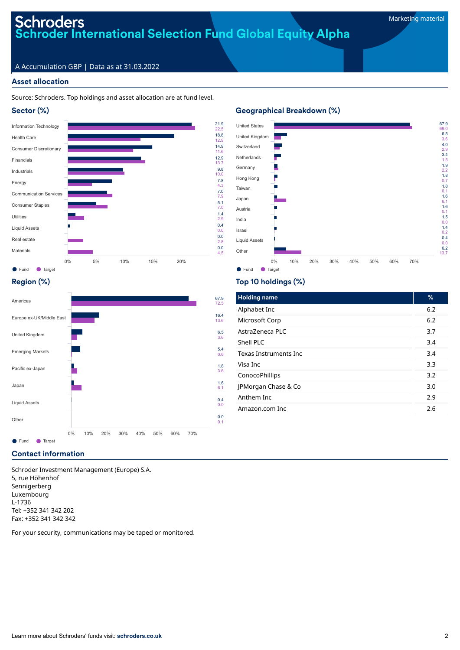# Schroders<br>Schroder International Selection Fund Global Equity Alpha

# A Accumulation GBP | Data as at 31.03.2022

# Asset allocation

## Source: Schroders. Top holdings and asset allocation are at fund level.





# Geographical Breakdown (%)



# Region (%)



# Top 10 holdings (%)

7.8 4.3

5.1 7.0 1.4 2.9

0.0 2.8

4.5

| <b>Holding name</b>   | %   |
|-----------------------|-----|
| Alphabet Inc          | 6.2 |
| Microsoft Corp        | 6.2 |
| AstraZeneca PLC       | 3.7 |
| Shell PLC             | 3.4 |
| Texas Instruments Inc | 3.4 |
| Visa Inc              | 3.3 |
| ConocoPhillips        | 3.2 |
| JPMorgan Chase & Co   | 3.0 |
| Anthem Inc            | 2.9 |
| Amazon.com Inc        | 2.6 |

# Contact information

Schroder Investment Management (Europe) S.A. 5, rue Höhenhof Sennigerberg Luxembourg L-1736 Tel: +352 341 342 202 Fax: +352 341 342 342

For your security, communications may be taped or monitored.